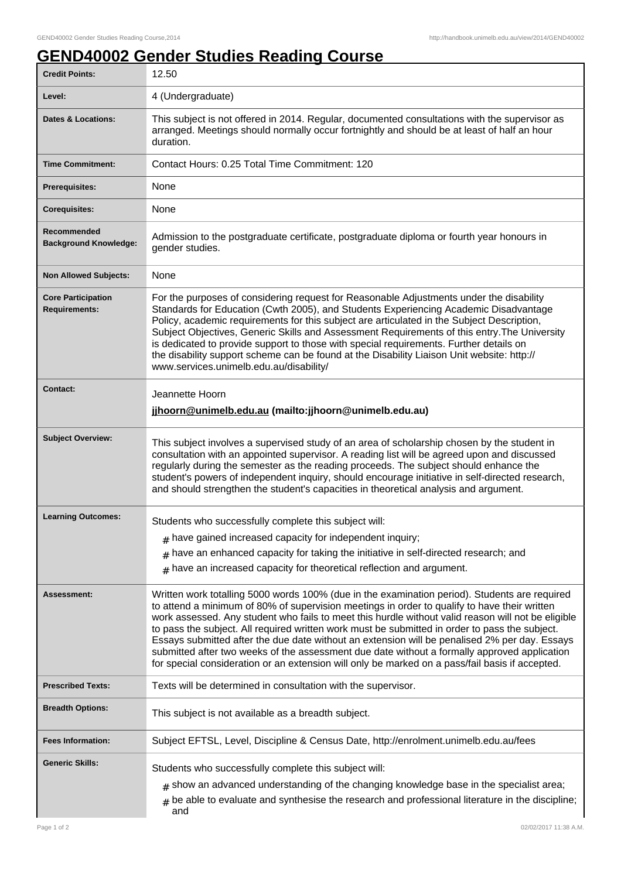## **GEND40002 Gender Studies Reading Course**

| <b>Credit Points:</b>                             | 12.50                                                                                                                                                                                                                                                                                                                                                                                                                                                                                                                                                                                                                                                                                                     |
|---------------------------------------------------|-----------------------------------------------------------------------------------------------------------------------------------------------------------------------------------------------------------------------------------------------------------------------------------------------------------------------------------------------------------------------------------------------------------------------------------------------------------------------------------------------------------------------------------------------------------------------------------------------------------------------------------------------------------------------------------------------------------|
| Level:                                            | 4 (Undergraduate)                                                                                                                                                                                                                                                                                                                                                                                                                                                                                                                                                                                                                                                                                         |
| <b>Dates &amp; Locations:</b>                     | This subject is not offered in 2014. Regular, documented consultations with the supervisor as<br>arranged. Meetings should normally occur fortnightly and should be at least of half an hour<br>duration.                                                                                                                                                                                                                                                                                                                                                                                                                                                                                                 |
| <b>Time Commitment:</b>                           | Contact Hours: 0.25 Total Time Commitment: 120                                                                                                                                                                                                                                                                                                                                                                                                                                                                                                                                                                                                                                                            |
| <b>Prerequisites:</b>                             | None                                                                                                                                                                                                                                                                                                                                                                                                                                                                                                                                                                                                                                                                                                      |
| <b>Corequisites:</b>                              | None                                                                                                                                                                                                                                                                                                                                                                                                                                                                                                                                                                                                                                                                                                      |
| Recommended<br><b>Background Knowledge:</b>       | Admission to the postgraduate certificate, postgraduate diploma or fourth year honours in<br>gender studies.                                                                                                                                                                                                                                                                                                                                                                                                                                                                                                                                                                                              |
| <b>Non Allowed Subjects:</b>                      | None                                                                                                                                                                                                                                                                                                                                                                                                                                                                                                                                                                                                                                                                                                      |
| <b>Core Participation</b><br><b>Requirements:</b> | For the purposes of considering request for Reasonable Adjustments under the disability<br>Standards for Education (Cwth 2005), and Students Experiencing Academic Disadvantage<br>Policy, academic requirements for this subject are articulated in the Subject Description,<br>Subject Objectives, Generic Skills and Assessment Requirements of this entry. The University<br>is dedicated to provide support to those with special requirements. Further details on<br>the disability support scheme can be found at the Disability Liaison Unit website: http://<br>www.services.unimelb.edu.au/disability/                                                                                          |
| <b>Contact:</b>                                   | Jeannette Hoorn<br>jjhoorn@unimelb.edu.au (mailto: jjhoorn@unimelb.edu.au)                                                                                                                                                                                                                                                                                                                                                                                                                                                                                                                                                                                                                                |
|                                                   |                                                                                                                                                                                                                                                                                                                                                                                                                                                                                                                                                                                                                                                                                                           |
| <b>Subject Overview:</b>                          | This subject involves a supervised study of an area of scholarship chosen by the student in<br>consultation with an appointed supervisor. A reading list will be agreed upon and discussed<br>regularly during the semester as the reading proceeds. The subject should enhance the<br>student's powers of independent inquiry, should encourage initiative in self-directed research,<br>and should strengthen the student's capacities in theoretical analysis and argument.                                                                                                                                                                                                                            |
| <b>Learning Outcomes:</b>                         | Students who successfully complete this subject will:                                                                                                                                                                                                                                                                                                                                                                                                                                                                                                                                                                                                                                                     |
|                                                   | $#$ have gained increased capacity for independent inquiry;                                                                                                                                                                                                                                                                                                                                                                                                                                                                                                                                                                                                                                               |
|                                                   | have an enhanced capacity for taking the initiative in self-directed research; and<br>#                                                                                                                                                                                                                                                                                                                                                                                                                                                                                                                                                                                                                   |
|                                                   | have an increased capacity for theoretical reflection and argument.<br>#                                                                                                                                                                                                                                                                                                                                                                                                                                                                                                                                                                                                                                  |
| Assessment:                                       | Written work totalling 5000 words 100% (due in the examination period). Students are required<br>to attend a minimum of 80% of supervision meetings in order to qualify to have their written<br>work assessed. Any student who fails to meet this hurdle without valid reason will not be eligible<br>to pass the subject. All required written work must be submitted in order to pass the subject.<br>Essays submitted after the due date without an extension will be penalised 2% per day. Essays<br>submitted after two weeks of the assessment due date without a formally approved application<br>for special consideration or an extension will only be marked on a pass/fail basis if accepted. |
| <b>Prescribed Texts:</b>                          | Texts will be determined in consultation with the supervisor.                                                                                                                                                                                                                                                                                                                                                                                                                                                                                                                                                                                                                                             |
| <b>Breadth Options:</b>                           | This subject is not available as a breadth subject.                                                                                                                                                                                                                                                                                                                                                                                                                                                                                                                                                                                                                                                       |
| <b>Fees Information:</b>                          | Subject EFTSL, Level, Discipline & Census Date, http://enrolment.unimelb.edu.au/fees                                                                                                                                                                                                                                                                                                                                                                                                                                                                                                                                                                                                                      |
| <b>Generic Skills:</b>                            | Students who successfully complete this subject will:<br>$#$ show an advanced understanding of the changing knowledge base in the specialist area;<br>$#$ be able to evaluate and synthesise the research and professional literature in the discipline;<br>and                                                                                                                                                                                                                                                                                                                                                                                                                                           |